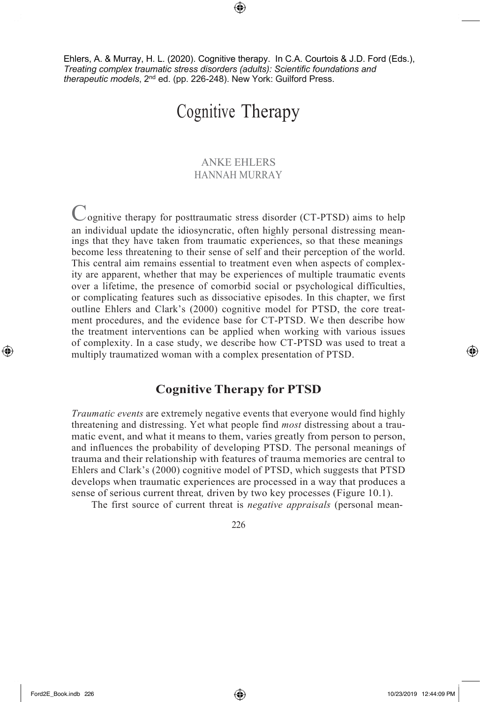Ehlers, A. & Murray, H. L. (2020). Cognitive therapy. In C.A. Courtois & J.D. Ford (Eds.), *Treating complex traumatic stress disorders (adults): Scientific foundations and therapeutic models*, 2nd ed. (pp. 226-248). New York: Guilford Press.

⊕

# Cognitive Therapy

# ANKE EHLERS HANNAH MURRAY

Cognitive therapy for posttraumatic stress disorder (CT-PTSD) aims to help an individual update the idiosyncratic, often highly personal distressing meanings that they have taken from traumatic experiences, so that these meanings become less threatening to their sense of self and their perception of the world. This central aim remains essential to treatment even when aspects of complexity are apparent, whether that may be experiences of multiple traumatic events over a lifetime, the presence of comorbid social or psychological difficulties, or complicating features such as dissociative episodes. In this chapter, we first outline Ehlers and Clark's (2000) cognitive model for PTSD, the core treatment procedures, and the evidence base for CT-PTSD. We then describe how the treatment interventions can be applied when working with various issues of complexity. In a case study, we describe how CT-PTSD was used to treat a multiply traumatized woman with a complex presentation of PTSD.

# **Cognitive Therapy for PTSD**

*Traumatic events* are extremely negative events that everyone would find highly threatening and distressing. Yet what people find *most* distressing about a traumatic event, and what it means to them, varies greatly from person to person, and influences the probability of developing PTSD. The personal meanings of trauma and their relationship with features of trauma memories are central to Ehlers and Clark's (2000) cognitive model of PTSD, which suggests that PTSD develops when traumatic experiences are processed in a way that produces a sense of serious current threat*,* driven by two key processes (Figure 10.1).

The first source of current threat is *negative appraisals* (personal mean-

226

↔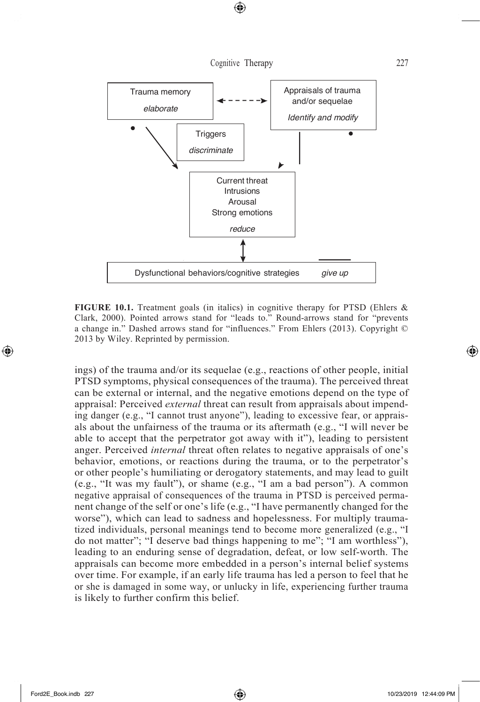

**FIGURE 10.1.** Treatment goals (in italics) in cognitive therapy for PTSD (Ehlers & Clark, 2000). Pointed arrows stand for "leads to." Round-arrows stand for "prevents a change in." Dashed arrows stand for "influences." From Ehlers (2013). Copyright © 2013 by Wiley. Reprinted by permission.

ings) of the trauma and/or its sequelae (e.g., reactions of other people, initial PTSD symptoms, physical consequences of the trauma). The perceived threat can be external or internal, and the negative emotions depend on the type of appraisal: Perceived *external* threat can result from appraisals about impending danger (e.g., "I cannot trust anyone"), leading to excessive fear, or appraisals about the unfairness of the trauma or its aftermath (e.g., "I will never be able to accept that the perpetrator got away with it"), leading to persistent anger. Perceived *internal* threat often relates to negative appraisals of one's behavior, emotions, or reactions during the trauma, or to the perpetrator's or other people's humiliating or derogatory statements, and may lead to guilt (e.g., "It was my fault"), or shame (e.g., "I am a bad person"). A common negative appraisal of consequences of the trauma in PTSD is perceived permanent change of the self or one's life (e.g., "I have permanently changed for the worse"), which can lead to sadness and hopelessness. For multiply traumatized individuals, personal meanings tend to become more generalized (e.g., "I do not matter"; "I deserve bad things happening to me"; "I am worthless"), leading to an enduring sense of degradation, defeat, or low self-worth. The appraisals can become more embedded in a person's internal belief systems over time. For example, if an early life trauma has led a person to feel that he or she is damaged in some way, or unlucky in life, experiencing further trauma is likely to further confirm this belief.

⊕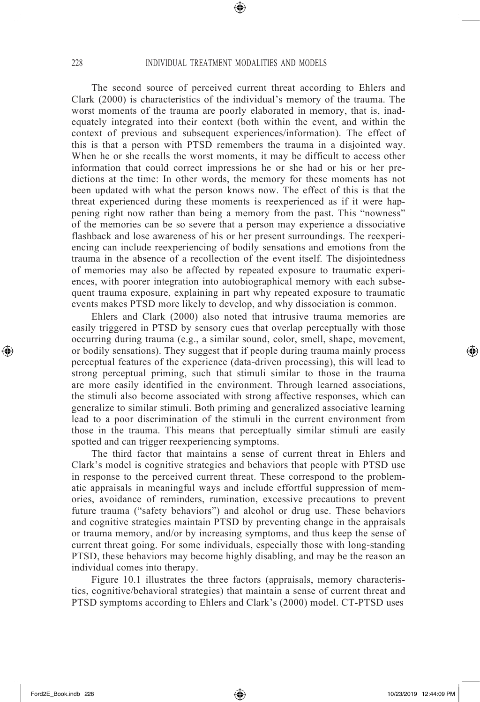⊕

The second source of perceived current threat according to Ehlers and Clark (2000) is characteristics of the individual's memory of the trauma. The worst moments of the trauma are poorly elaborated in memory, that is, inadequately integrated into their context (both within the event, and within the context of previous and subsequent experiences/information). The effect of this is that a person with PTSD remembers the trauma in a disjointed way. When he or she recalls the worst moments, it may be difficult to access other information that could correct impressions he or she had or his or her predictions at the time: In other words, the memory for these moments has not been updated with what the person knows now. The effect of this is that the threat experienced during these moments is reexperienced as if it were happening right now rather than being a memory from the past. This "nowness" of the memories can be so severe that a person may experience a dissociative flashback and lose awareness of his or her present surroundings. The reexperiencing can include reexperiencing of bodily sensations and emotions from the trauma in the absence of a recollection of the event itself. The disjointedness of memories may also be affected by repeated exposure to traumatic experiences, with poorer integration into autobiographical memory with each subsequent trauma exposure, explaining in part why repeated exposure to traumatic events makes PTSD more likely to develop, and why dissociation is common.

Ehlers and Clark (2000) also noted that intrusive trauma memories are easily triggered in PTSD by sensory cues that overlap perceptually with those occurring during trauma (e.g., a similar sound, color, smell, shape, movement, or bodily sensations). They suggest that if people during trauma mainly process perceptual features of the experience (data-driven processing), this will lead to strong perceptual priming, such that stimuli similar to those in the trauma are more easily identified in the environment. Through learned associations, the stimuli also become associated with strong affective responses, which can generalize to similar stimuli. Both priming and generalized associative learning lead to a poor discrimination of the stimuli in the current environment from those in the trauma. This means that perceptually similar stimuli are easily spotted and can trigger reexperiencing symptoms.

The third factor that maintains a sense of current threat in Ehlers and Clark's model is cognitive strategies and behaviors that people with PTSD use in response to the perceived current threat. These correspond to the problematic appraisals in meaningful ways and include effortful suppression of memories, avoidance of reminders, rumination, excessive precautions to prevent future trauma ("safety behaviors") and alcohol or drug use. These behaviors and cognitive strategies maintain PTSD by preventing change in the appraisals or trauma memory, and/or by increasing symptoms, and thus keep the sense of current threat going. For some individuals, especially those with long-standing PTSD, these behaviors may become highly disabling, and may be the reason an individual comes into therapy.

Figure 10.1 illustrates the three factors (appraisals, memory characteristics, cognitive/behavioral strategies) that maintain a sense of current threat and PTSD symptoms according to Ehlers and Clark's (2000) model. CT-PTSD uses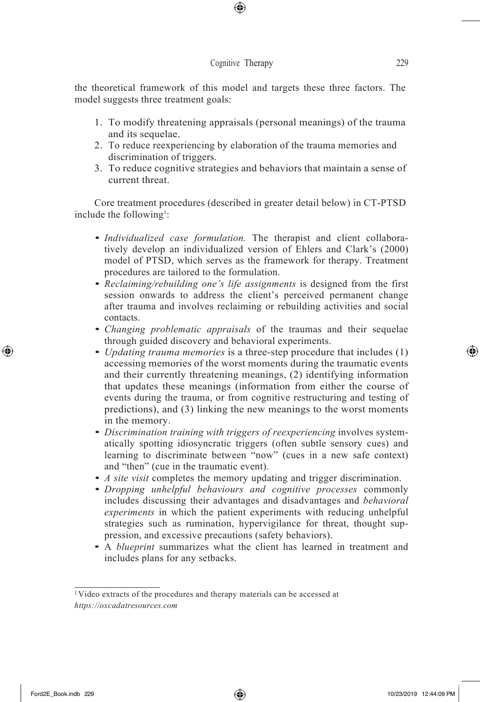⊕

the theoretical framework of this model and targets these three factors. The model suggests three treatment goals:

- 1. To modify threatening appraisals (personal meanings) of the trauma and its sequelae.
- 2. To reduce reexperiencing by elaboration of the trauma memories and discrimination of triggers.
- 3. To reduce cognitive strategies and behaviors that maintain a sense of current threat.

Core treatment procedures (described in greater detail below) in CT-PTSD include the following<sup>1</sup>:

- *• Individualized case formulation.* The therapist and client collaboratively develop an individualized version of Ehlers and Clark's (2000) model of PTSD, which serves as the framework for therapy. Treatment procedures are tailored to the formulation.
- *• Reclaiming/rebuilding one's life assignments* is designed from the first session onwards to address the client's perceived permanent change after trauma and involves reclaiming or rebuilding activities and social contacts.
- *• Changing problematic appraisals* of the traumas and their sequelae through guided discovery and behavioral experiments.
- *• Updating trauma memories* is a three-step procedure that includes (1) accessing memories of the worst moments during the traumatic events and their currently threatening meanings, (2) identifying information that updates these meanings (information from either the course of events during the trauma, or from cognitive restructuring and testing of predictions), and (3) linking the new meanings to the worst moments in the memory.
- *• Discrimination training with triggers of reexperiencing* involves systematically spotting idiosyncratic triggers (often subtle sensory cues) and learning to discriminate between "now" (cues in a new safe context) and "then" (cue in the traumatic event).
- *• A site visit* completes the memory updating and trigger discrimination.
- *• Dropping unhelpful behaviours and cognitive processes* commonly includes discussing their advantages and disadvantages and *behavioral experiments* in which the patient experiments with reducing unhelpful strategies such as rumination, hypervigilance for threat, thought suppression, and excessive precautions (safety behaviors).
- A *blueprint* summarizes what the client has learned in treatment and includes plans for any setbacks.

↔

<sup>1</sup>Video extracts of the procedures and therapy materials can be accessed at *https://oxcadatresources.com*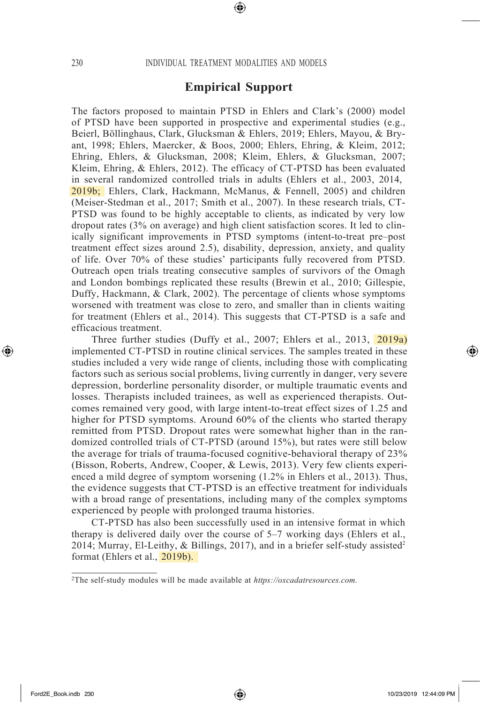## **Empirical Support**

The factors proposed to maintain PTSD in Ehlers and Clark's (2000) model of PTSD have been supported in prospective and experimental studies (e.g., Beierl, Böllinghaus, Clark, Glucksman & Ehlers, 2019; Ehlers, Mayou, & Bryant, 1998; Ehlers, Maercker, & Boos, 2000; Ehlers, Ehring, & Kleim, 2012; Ehring, Ehlers, & Glucksman, 2008; Kleim, Ehlers, & Glucksman, 2007; Kleim, Ehring, & Ehlers, 2012). The efficacy of CT-PTSD has been evaluated in several randomized controlled trials in adults (Ehlers et al., 2003, 2014, 2019b; Ehlers, Clark, Hackmann, McManus, & Fennell, 2005) and children (Meiser-Stedman et al., 2017; Smith et al., 2007). In these research trials, CT-PTSD was found to be highly acceptable to clients, as indicated by very low dropout rates (3% on average) and high client satisfaction scores. It led to clinically significant improvements in PTSD symptoms (intent-to-treat pre–post treatment effect sizes around 2.5), disability, depression, anxiety, and quality of life. Over 70% of these studies' participants fully recovered from PTSD. Outreach open trials treating consecutive samples of survivors of the Omagh and London bombings replicated these results (Brewin et al., 2010; Gillespie, Duffy, Hackmann, & Clark, 2002). The percentage of clients whose symptoms worsened with treatment was close to zero, and smaller than in clients waiting for treatment (Ehlers et al., 2014). This suggests that CT-PTSD is a safe and efficacious treatment.

Three further studies (Duffy et al., 2007; Ehlers et al., 2013, 2019a) implemented CT-PTSD in routine clinical services. The samples treated in these studies included a very wide range of clients, including those with complicating factors such as serious social problems, living currently in danger, very severe depression, borderline personality disorder, or multiple traumatic events and losses. Therapists included trainees, as well as experienced therapists. Outcomes remained very good, with large intent-to-treat effect sizes of 1.25 and higher for PTSD symptoms. Around 60% of the clients who started therapy remitted from PTSD. Dropout rates were somewhat higher than in the randomized controlled trials of CT-PTSD (around 15%), but rates were still below the average for trials of trauma-focused cognitive-behavioral therapy of 23% (Bisson, Roberts, Andrew, Cooper, & Lewis, 2013). Very few clients experienced a mild degree of symptom worsening (1.2% in Ehlers et al., 2013). Thus, the evidence suggests that CT-PTSD is an effective treatment for individuals with a broad range of presentations, including many of the complex symptoms experienced by people with prolonged trauma histories.

CT-PTSD has also been successfully used in an intensive format in which therapy is delivered daily over the course of 5–7 working days (Ehlers et al., 2014; Murray, El-Leithy, & Billings, 2017), and in a briefer self-study assisted<sup>2</sup> format (Ehlers et al., 2019b).

<sup>2</sup>The self-study modules will be made available at *https://oxcadatresources.com.*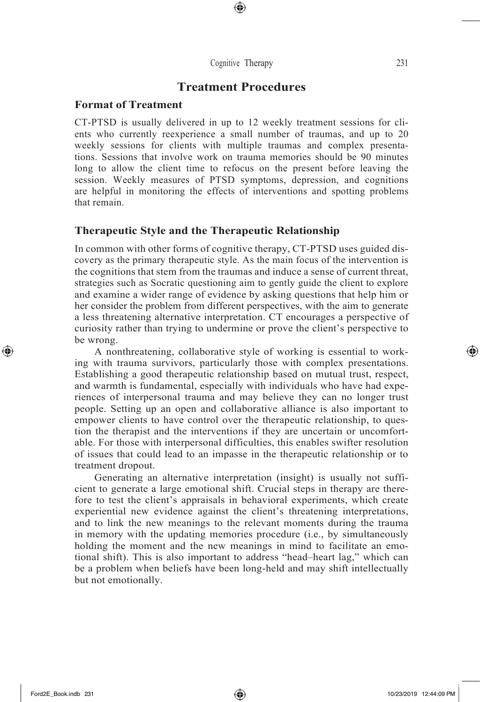# **Treatment Procedures**

#### **Format of Treatment**

CT-PTSD is usually delivered in up to 12 weekly treatment sessions for clients who currently reexperience a small number of traumas, and up to 20 weekly sessions for clients with multiple traumas and complex presentations. Sessions that involve work on trauma memories should be 90 minutes long to allow the client time to refocus on the present before leaving the session. Weekly measures of PTSD symptoms, depression, and cognitions are helpful in monitoring the effects of interventions and spotting problems that remain.

## **Therapeutic Style and the Therapeutic Relationship**

In common with other forms of cognitive therapy, CT-PTSD uses guided discovery as the primary therapeutic style. As the main focus of the intervention is the cognitions that stem from the traumas and induce a sense of current threat, strategies such as Socratic questioning aim to gently guide the client to explore and examine a wider range of evidence by asking questions that help him or her consider the problem from different perspectives, with the aim to generate a less threatening alternative interpretation. CT encourages a perspective of curiosity rather than trying to undermine or prove the client's perspective to be wrong.

A nonthreatening, collaborative style of working is essential to working with trauma survivors, particularly those with complex presentations. Establishing a good therapeutic relationship based on mutual trust, respect, and warmth is fundamental, especially with individuals who have had experiences of interpersonal trauma and may believe they can no longer trust people. Setting up an open and collaborative alliance is also important to empower clients to have control over the therapeutic relationship, to question the therapist and the interventions if they are uncertain or uncomfortable. For those with interpersonal difficulties, this enables swifter resolution of issues that could lead to an impasse in the therapeutic relationship or to treatment dropout.

Generating an alternative interpretation (insight) is usually not sufficient to generate a large emotional shift. Crucial steps in therapy are therefore to test the client's appraisals in behavioral experiments, which create experiential new evidence against the client's threatening interpretations, and to link the new meanings to the relevant moments during the trauma in memory with the updating memories procedure (i.e., by simultaneously holding the moment and the new meanings in mind to facilitate an emotional shift). This is also important to address "head–heart lag," which can be a problem when beliefs have been long-held and may shift intellectually but not emotionally.

↔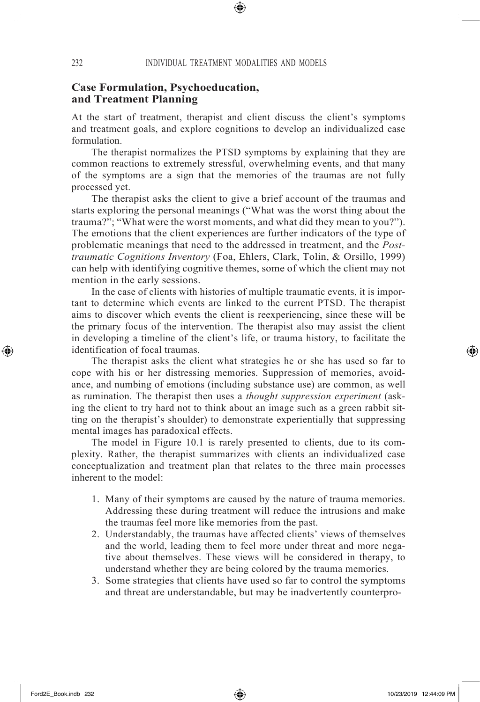## **Case Formulation, Psychoeducation, and Treatment Planning**

At the start of treatment, therapist and client discuss the client's symptoms and treatment goals, and explore cognitions to develop an individualized case formulation.

The therapist normalizes the PTSD symptoms by explaining that they are common reactions to extremely stressful, overwhelming events, and that many of the symptoms are a sign that the memories of the traumas are not fully processed yet.

The therapist asks the client to give a brief account of the traumas and starts exploring the personal meanings ("What was the worst thing about the trauma?"; "What were the worst moments, and what did they mean to you?"). The emotions that the client experiences are further indicators of the type of problematic meanings that need to the addressed in treatment, and the *Posttraumatic Cognitions Inventory* (Foa, Ehlers, Clark, Tolin, & Orsillo, 1999) can help with identifying cognitive themes, some of which the client may not mention in the early sessions.

In the case of clients with histories of multiple traumatic events, it is important to determine which events are linked to the current PTSD. The therapist aims to discover which events the client is reexperiencing, since these will be the primary focus of the intervention. The therapist also may assist the client in developing a timeline of the client's life, or trauma history, to facilitate the identification of focal traumas.

The therapist asks the client what strategies he or she has used so far to cope with his or her distressing memories. Suppression of memories, avoidance, and numbing of emotions (including substance use) are common, as well as rumination. The therapist then uses a *thought suppression experiment* (asking the client to try hard not to think about an image such as a green rabbit sitting on the therapist's shoulder) to demonstrate experientially that suppressing mental images has paradoxical effects.

The model in Figure 10.1 is rarely presented to clients, due to its complexity. Rather, the therapist summarizes with clients an individualized case conceptualization and treatment plan that relates to the three main processes inherent to the model:

- 1. Many of their symptoms are caused by the nature of trauma memories. Addressing these during treatment will reduce the intrusions and make the traumas feel more like memories from the past.
- 2. Understandably, the traumas have affected clients' views of themselves and the world, leading them to feel more under threat and more negative about themselves. These views will be considered in therapy, to understand whether they are being colored by the trauma memories.
- 3. Some strategies that clients have used so far to control the symptoms and threat are understandable, but may be inadvertently counterpro-

↔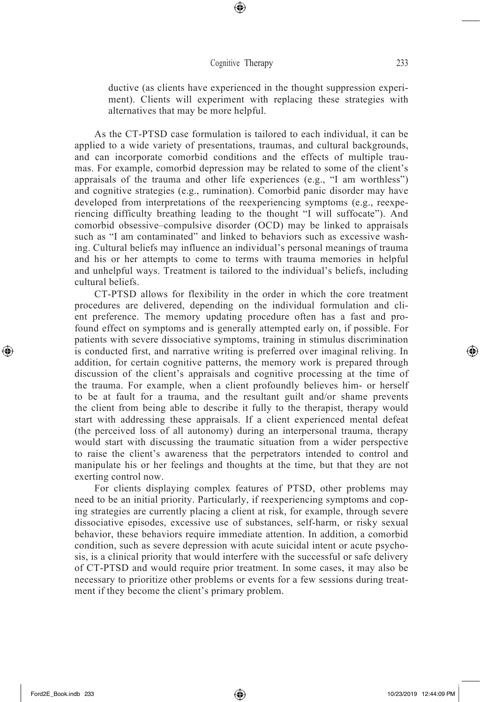⊕

ductive (as clients have experienced in the thought suppression experiment). Clients will experiment with replacing these strategies with alternatives that may be more helpful.

As the CT-PTSD case formulation is tailored to each individual, it can be applied to a wide variety of presentations, traumas, and cultural backgrounds, and can incorporate comorbid conditions and the effects of multiple traumas. For example, comorbid depression may be related to some of the client's appraisals of the trauma and other life experiences (e.g., "I am worthless") and cognitive strategies (e.g., rumination). Comorbid panic disorder may have developed from interpretations of the reexperiencing symptoms (e.g., reexperiencing difficulty breathing leading to the thought "I will suffocate"). And comorbid obsessive–compulsive disorder (OCD) may be linked to appraisals such as "I am contaminated" and linked to behaviors such as excessive washing. Cultural beliefs may influence an individual's personal meanings of trauma and his or her attempts to come to terms with trauma memories in helpful and unhelpful ways. Treatment is tailored to the individual's beliefs, including cultural beliefs.

CT-PTSD allows for flexibility in the order in which the core treatment procedures are delivered, depending on the individual formulation and client preference. The memory updating procedure often has a fast and profound effect on symptoms and is generally attempted early on, if possible. For patients with severe dissociative symptoms, training in stimulus discrimination is conducted first, and narrative writing is preferred over imaginal reliving. In addition, for certain cognitive patterns, the memory work is prepared through discussion of the client's appraisals and cognitive processing at the time of the trauma. For example, when a client profoundly believes him- or herself to be at fault for a trauma, and the resultant guilt and/or shame prevents the client from being able to describe it fully to the therapist, therapy would start with addressing these appraisals. If a client experienced mental defeat (the perceived loss of all autonomy) during an interpersonal trauma, therapy would start with discussing the traumatic situation from a wider perspective to raise the client's awareness that the perpetrators intended to control and manipulate his or her feelings and thoughts at the time, but that they are not exerting control now.

For clients displaying complex features of PTSD, other problems may need to be an initial priority. Particularly, if reexperiencing symptoms and coping strategies are currently placing a client at risk, for example, through severe dissociative episodes, excessive use of substances, self-harm, or risky sexual behavior, these behaviors require immediate attention. In addition, a comorbid condition, such as severe depression with acute suicidal intent or acute psychosis, is a clinical priority that would interfere with the successful or safe delivery of CT-PTSD and would require prior treatment. In some cases, it may also be necessary to prioritize other problems or events for a few sessions during treatment if they become the client's primary problem.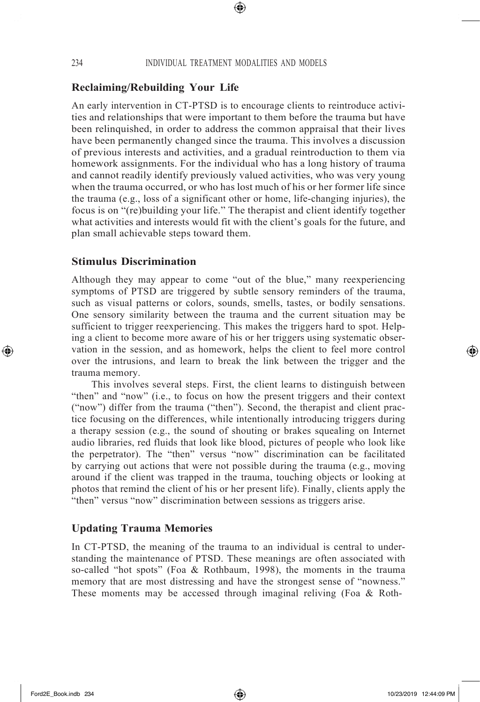⊕

# **Reclaiming/Rebuilding Your Life**

An early intervention in CT-PTSD is to encourage clients to reintroduce activities and relationships that were important to them before the trauma but have been relinquished, in order to address the common appraisal that their lives have been permanently changed since the trauma. This involves a discussion of previous interests and activities, and a gradual reintroduction to them via homework assignments. For the individual who has a long history of trauma and cannot readily identify previously valued activities, who was very young when the trauma occurred, or who has lost much of his or her former life since the trauma (e.g., loss of a significant other or home, life-changing injuries), the focus is on "(re)building your life." The therapist and client identify together what activities and interests would fit with the client's goals for the future, and plan small achievable steps toward them.

#### **Stimulus Discrimination**

Although they may appear to come "out of the blue," many reexperiencing symptoms of PTSD are triggered by subtle sensory reminders of the trauma, such as visual patterns or colors, sounds, smells, tastes, or bodily sensations. One sensory similarity between the trauma and the current situation may be sufficient to trigger reexperiencing. This makes the triggers hard to spot. Helping a client to become more aware of his or her triggers using systematic observation in the session, and as homework, helps the client to feel more control over the intrusions, and learn to break the link between the trigger and the trauma memory.

This involves several steps. First, the client learns to distinguish between "then" and "now" (i.e., to focus on how the present triggers and their context ("now") differ from the trauma ("then"). Second, the therapist and client practice focusing on the differences, while intentionally introducing triggers during a therapy session (e.g., the sound of shouting or brakes squealing on Internet audio libraries, red fluids that look like blood, pictures of people who look like the perpetrator). The "then" versus "now" discrimination can be facilitated by carrying out actions that were not possible during the trauma (e.g., moving around if the client was trapped in the trauma, touching objects or looking at photos that remind the client of his or her present life). Finally, clients apply the "then" versus "now" discrimination between sessions as triggers arise.

## **Updating Trauma Memories**

In CT-PTSD, the meaning of the trauma to an individual is central to understanding the maintenance of PTSD. These meanings are often associated with so-called "hot spots" (Foa & Rothbaum, 1998), the moments in the trauma memory that are most distressing and have the strongest sense of "nowness." These moments may be accessed through imaginal reliving (Foa & Roth-

↔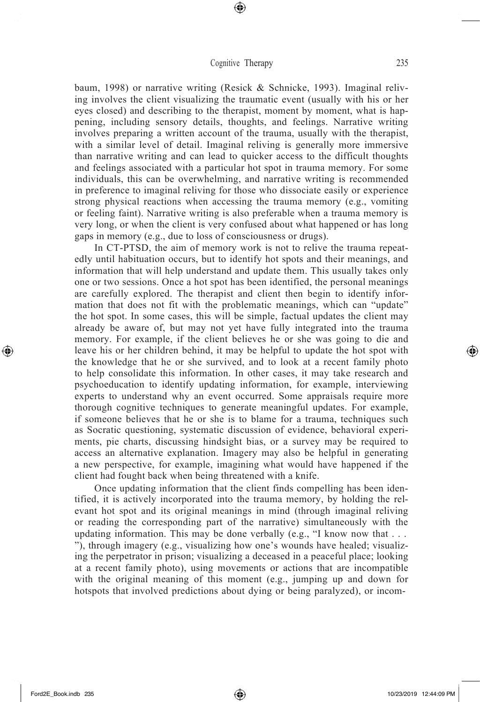⊕

baum, 1998) or narrative writing (Resick & Schnicke, 1993). Imaginal reliving involves the client visualizing the traumatic event (usually with his or her eyes closed) and describing to the therapist, moment by moment, what is happening, including sensory details, thoughts, and feelings. Narrative writing involves preparing a written account of the trauma, usually with the therapist, with a similar level of detail. Imaginal reliving is generally more immersive than narrative writing and can lead to quicker access to the difficult thoughts and feelings associated with a particular hot spot in trauma memory. For some individuals, this can be overwhelming, and narrative writing is recommended in preference to imaginal reliving for those who dissociate easily or experience strong physical reactions when accessing the trauma memory (e.g., vomiting or feeling faint). Narrative writing is also preferable when a trauma memory is very long, or when the client is very confused about what happened or has long gaps in memory (e.g., due to loss of consciousness or drugs).

In CT-PTSD, the aim of memory work is not to relive the trauma repeatedly until habituation occurs, but to identify hot spots and their meanings, and information that will help understand and update them. This usually takes only one or two sessions. Once a hot spot has been identified, the personal meanings are carefully explored. The therapist and client then begin to identify information that does not fit with the problematic meanings, which can "update" the hot spot. In some cases, this will be simple, factual updates the client may already be aware of, but may not yet have fully integrated into the trauma memory. For example, if the client believes he or she was going to die and leave his or her children behind, it may be helpful to update the hot spot with the knowledge that he or she survived, and to look at a recent family photo to help consolidate this information. In other cases, it may take research and psychoeducation to identify updating information, for example, interviewing experts to understand why an event occurred. Some appraisals require more thorough cognitive techniques to generate meaningful updates. For example, if someone believes that he or she is to blame for a trauma, techniques such as Socratic questioning, systematic discussion of evidence, behavioral experiments, pie charts, discussing hindsight bias, or a survey may be required to access an alternative explanation. Imagery may also be helpful in generating a new perspective, for example, imagining what would have happened if the client had fought back when being threatened with a knife.

Once updating information that the client finds compelling has been identified, it is actively incorporated into the trauma memory, by holding the relevant hot spot and its original meanings in mind (through imaginal reliving or reading the corresponding part of the narrative) simultaneously with the updating information. This may be done verbally (e.g., "I know now that . . . "), through imagery (e.g., visualizing how one's wounds have healed; visualizing the perpetrator in prison; visualizing a deceased in a peaceful place; looking at a recent family photo), using movements or actions that are incompatible with the original meaning of this moment (e.g., jumping up and down for hotspots that involved predictions about dying or being paralyzed), or incom-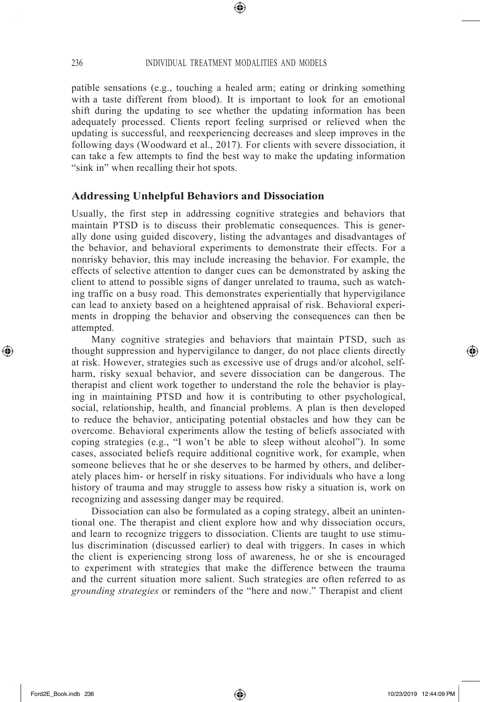⊕

patible sensations (e.g., touching a healed arm; eating or drinking something with a taste different from blood). It is important to look for an emotional shift during the updating to see whether the updating information has been adequately processed. Clients report feeling surprised or relieved when the updating is successful, and reexperiencing decreases and sleep improves in the following days (Woodward et al., 2017). For clients with severe dissociation, it can take a few attempts to find the best way to make the updating information "sink in" when recalling their hot spots.

#### **Addressing Unhelpful Behaviors and Dissociation**

Usually, the first step in addressing cognitive strategies and behaviors that maintain PTSD is to discuss their problematic consequences. This is generally done using guided discovery, listing the advantages and disadvantages of the behavior, and behavioral experiments to demonstrate their effects. For a nonrisky behavior, this may include increasing the behavior. For example, the effects of selective attention to danger cues can be demonstrated by asking the client to attend to possible signs of danger unrelated to trauma, such as watching traffic on a busy road. This demonstrates experientially that hypervigilance can lead to anxiety based on a heightened appraisal of risk. Behavioral experiments in dropping the behavior and observing the consequences can then be attempted.

Many cognitive strategies and behaviors that maintain PTSD, such as thought suppression and hypervigilance to danger, do not place clients directly at risk. However, strategies such as excessive use of drugs and/or alcohol, selfharm, risky sexual behavior, and severe dissociation can be dangerous. The therapist and client work together to understand the role the behavior is playing in maintaining PTSD and how it is contributing to other psychological, social, relationship, health, and financial problems. A plan is then developed to reduce the behavior, anticipating potential obstacles and how they can be overcome. Behavioral experiments allow the testing of beliefs associated with coping strategies (e.g., "I won't be able to sleep without alcohol"). In some cases, associated beliefs require additional cognitive work, for example, when someone believes that he or she deserves to be harmed by others, and deliberately places him- or herself in risky situations. For individuals who have a long history of trauma and may struggle to assess how risky a situation is, work on recognizing and assessing danger may be required.

Dissociation can also be formulated as a coping strategy, albeit an unintentional one. The therapist and client explore how and why dissociation occurs, and learn to recognize triggers to dissociation. Clients are taught to use stimulus discrimination (discussed earlier) to deal with triggers. In cases in which the client is experiencing strong loss of awareness, he or she is encouraged to experiment with strategies that make the difference between the trauma and the current situation more salient. Such strategies are often referred to as *grounding strategies* or reminders of the "here and now." Therapist and client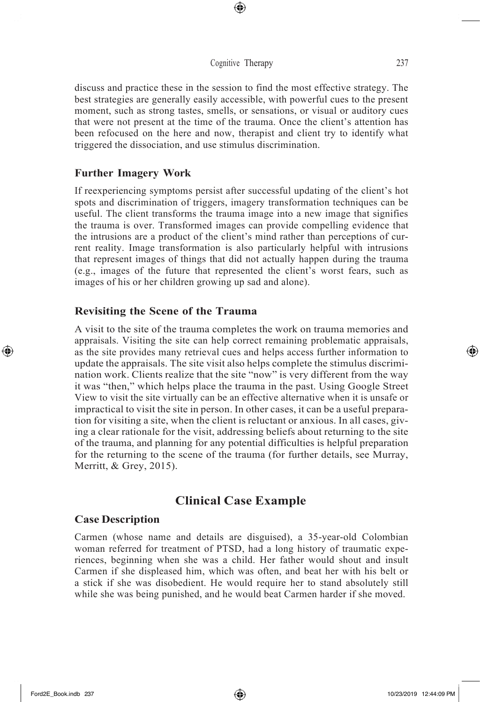⊕

discuss and practice these in the session to find the most effective strategy. The best strategies are generally easily accessible, with powerful cues to the present moment, such as strong tastes, smells, or sensations, or visual or auditory cues that were not present at the time of the trauma. Once the client's attention has been refocused on the here and now, therapist and client try to identify what triggered the dissociation, and use stimulus discrimination.

## **Further Imagery Work**

If reexperiencing symptoms persist after successful updating of the client's hot spots and discrimination of triggers, imagery transformation techniques can be useful. The client transforms the trauma image into a new image that signifies the trauma is over. Transformed images can provide compelling evidence that the intrusions are a product of the client's mind rather than perceptions of current reality. Image transformation is also particularly helpful with intrusions that represent images of things that did not actually happen during the trauma (e.g., images of the future that represented the client's worst fears, such as images of his or her children growing up sad and alone).

#### **Revisiting the Scene of the Trauma**

A visit to the site of the trauma completes the work on trauma memories and appraisals. Visiting the site can help correct remaining problematic appraisals, as the site provides many retrieval cues and helps access further information to update the appraisals. The site visit also helps complete the stimulus discrimination work. Clients realize that the site "now" is very different from the way it was "then," which helps place the trauma in the past. Using Google Street View to visit the site virtually can be an effective alternative when it is unsafe or impractical to visit the site in person. In other cases, it can be a useful preparation for visiting a site, when the client is reluctant or anxious. In all cases, giving a clear rationale for the visit, addressing beliefs about returning to the site of the trauma, and planning for any potential difficulties is helpful preparation for the returning to the scene of the trauma (for further details, see Murray, Merritt, & Grey, 2015).

# **Clinical Case Example**

#### **Case Description**

Carmen (whose name and details are disguised), a 35-year-old Colombian woman referred for treatment of PTSD, had a long history of traumatic experiences, beginning when she was a child. Her father would shout and insult Carmen if she displeased him, which was often, and beat her with his belt or a stick if she was disobedient. He would require her to stand absolutely still while she was being punished, and he would beat Carmen harder if she moved.

↔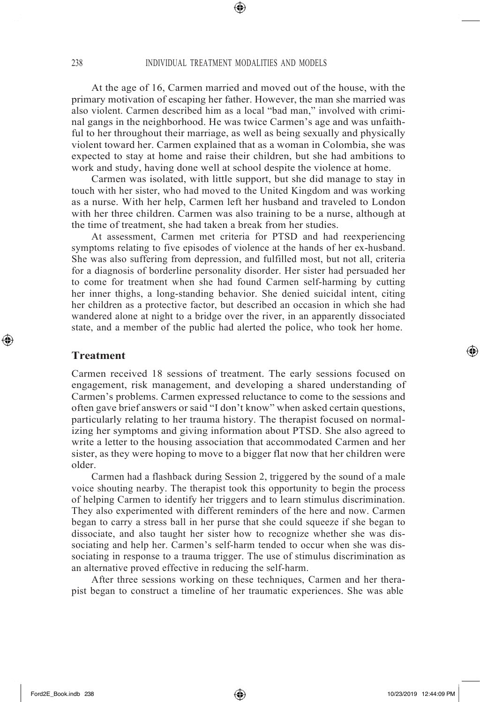⊕

At the age of 16, Carmen married and moved out of the house, with the primary motivation of escaping her father. However, the man she married was also violent. Carmen described him as a local "bad man," involved with criminal gangs in the neighborhood. He was twice Carmen's age and was unfaithful to her throughout their marriage, as well as being sexually and physically violent toward her. Carmen explained that as a woman in Colombia, she was expected to stay at home and raise their children, but she had ambitions to work and study, having done well at school despite the violence at home.

Carmen was isolated, with little support, but she did manage to stay in touch with her sister, who had moved to the United Kingdom and was working as a nurse. With her help, Carmen left her husband and traveled to London with her three children. Carmen was also training to be a nurse, although at the time of treatment, she had taken a break from her studies.

At assessment, Carmen met criteria for PTSD and had reexperiencing symptoms relating to five episodes of violence at the hands of her ex-husband. She was also suffering from depression, and fulfilled most, but not all, criteria for a diagnosis of borderline personality disorder. Her sister had persuaded her to come for treatment when she had found Carmen self-harming by cutting her inner thighs, a long-standing behavior. She denied suicidal intent, citing her children as a protective factor, but described an occasion in which she had wandered alone at night to a bridge over the river, in an apparently dissociated state, and a member of the public had alerted the police, who took her home.

#### **Treatment**

⊕

Carmen received 18 sessions of treatment. The early sessions focused on engagement, risk management, and developing a shared understanding of Carmen's problems. Carmen expressed reluctance to come to the sessions and often gave brief answers or said "I don't know" when asked certain questions, particularly relating to her trauma history. The therapist focused on normalizing her symptoms and giving information about PTSD. She also agreed to write a letter to the housing association that accommodated Carmen and her sister, as they were hoping to move to a bigger flat now that her children were older.

Carmen had a flashback during Session 2, triggered by the sound of a male voice shouting nearby. The therapist took this opportunity to begin the process of helping Carmen to identify her triggers and to learn stimulus discrimination. They also experimented with different reminders of the here and now. Carmen began to carry a stress ball in her purse that she could squeeze if she began to dissociate, and also taught her sister how to recognize whether she was dissociating and help her. Carmen's self-harm tended to occur when she was dissociating in response to a trauma trigger. The use of stimulus discrimination as an alternative proved effective in reducing the self-harm.

After three sessions working on these techniques, Carmen and her therapist began to construct a timeline of her traumatic experiences. She was able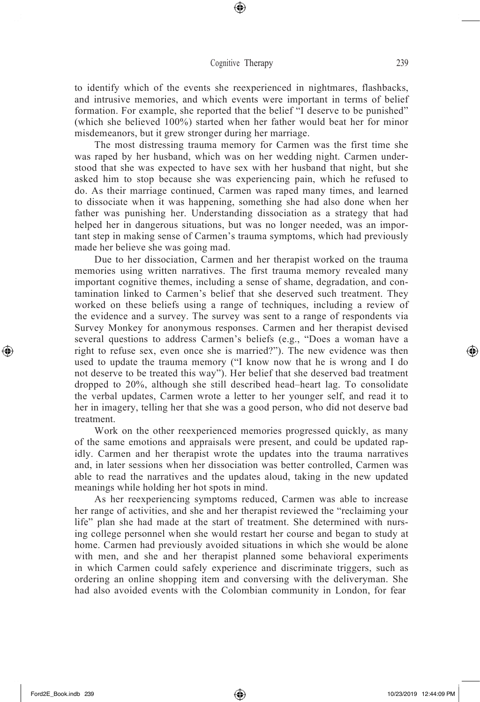⊕

to identify which of the events she reexperienced in nightmares, flashbacks, and intrusive memories, and which events were important in terms of belief formation. For example, she reported that the belief "I deserve to be punished" (which she believed 100%) started when her father would beat her for minor misdemeanors, but it grew stronger during her marriage.

The most distressing trauma memory for Carmen was the first time she was raped by her husband, which was on her wedding night. Carmen understood that she was expected to have sex with her husband that night, but she asked him to stop because she was experiencing pain, which he refused to do. As their marriage continued, Carmen was raped many times, and learned to dissociate when it was happening, something she had also done when her father was punishing her. Understanding dissociation as a strategy that had helped her in dangerous situations, but was no longer needed, was an important step in making sense of Carmen's trauma symptoms, which had previously made her believe she was going mad.

Due to her dissociation, Carmen and her therapist worked on the trauma memories using written narratives. The first trauma memory revealed many important cognitive themes, including a sense of shame, degradation, and contamination linked to Carmen's belief that she deserved such treatment. They worked on these beliefs using a range of techniques, including a review of the evidence and a survey. The survey was sent to a range of respondents via Survey Monkey for anonymous responses. Carmen and her therapist devised several questions to address Carmen's beliefs (e.g., "Does a woman have a right to refuse sex, even once she is married?"). The new evidence was then used to update the trauma memory ("I know now that he is wrong and I do not deserve to be treated this way"). Her belief that she deserved bad treatment dropped to 20%, although she still described head–heart lag. To consolidate the verbal updates, Carmen wrote a letter to her younger self, and read it to her in imagery, telling her that she was a good person, who did not deserve bad treatment.

Work on the other reexperienced memories progressed quickly, as many of the same emotions and appraisals were present, and could be updated rapidly. Carmen and her therapist wrote the updates into the trauma narratives and, in later sessions when her dissociation was better controlled, Carmen was able to read the narratives and the updates aloud, taking in the new updated meanings while holding her hot spots in mind.

As her reexperiencing symptoms reduced, Carmen was able to increase her range of activities, and she and her therapist reviewed the "reclaiming your life" plan she had made at the start of treatment. She determined with nursing college personnel when she would restart her course and began to study at home. Carmen had previously avoided situations in which she would be alone with men, and she and her therapist planned some behavioral experiments in which Carmen could safely experience and discriminate triggers, such as ordering an online shopping item and conversing with the deliveryman. She had also avoided events with the Colombian community in London, for fear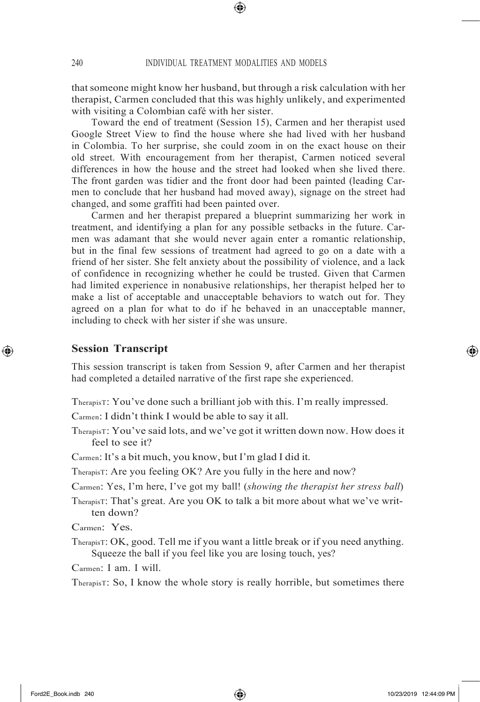that someone might know her husband, but through a risk calculation with her therapist, Carmen concluded that this was highly unlikely, and experimented with visiting a Colombian café with her sister.

Toward the end of treatment (Session 15), Carmen and her therapist used Google Street View to find the house where she had lived with her husband in Colombia. To her surprise, she could zoom in on the exact house on their old street. With encouragement from her therapist, Carmen noticed several differences in how the house and the street had looked when she lived there. The front garden was tidier and the front door had been painted (leading Carmen to conclude that her husband had moved away), signage on the street had changed, and some graffiti had been painted over.

Carmen and her therapist prepared a blueprint summarizing her work in treatment, and identifying a plan for any possible setbacks in the future. Carmen was adamant that she would never again enter a romantic relationship, but in the final few sessions of treatment had agreed to go on a date with a friend of her sister. She felt anxiety about the possibility of violence, and a lack of confidence in recognizing whether he could be trusted. Given that Carmen had limited experience in nonabusive relationships, her therapist helped her to make a list of acceptable and unacceptable behaviors to watch out for. They agreed on a plan for what to do if he behaved in an unacceptable manner, including to check with her sister if she was unsure.

#### **Session Transcript**

⊕

This session transcript is taken from Session 9, after Carmen and her therapist had completed a detailed narrative of the first rape she experienced.

TherapisT: You've done such a brilliant job with this. I'm really impressed.

Carmen: I didn't think I would be able to say it all.

TherapisT: You've said lots, and we've got it written down now. How does it feel to see it?

Carmen: It's a bit much, you know, but I'm glad I did it.

TherapisT: Are you feeling OK? Are you fully in the here and now?

Carmen: Yes, I'm here, I've got my ball! (*showing the therapist her stress ball*)

TherapisT: That's great. Are you OK to talk a bit more about what we've written down?

Carmen: Yes.

TherapisT: OK, good. Tell me if you want a little break or if you need anything. Squeeze the ball if you feel like you are losing touch, yes?

Carmen: I am. I will.

TherapisT: So, I know the whole story is really horrible, but sometimes there

⇔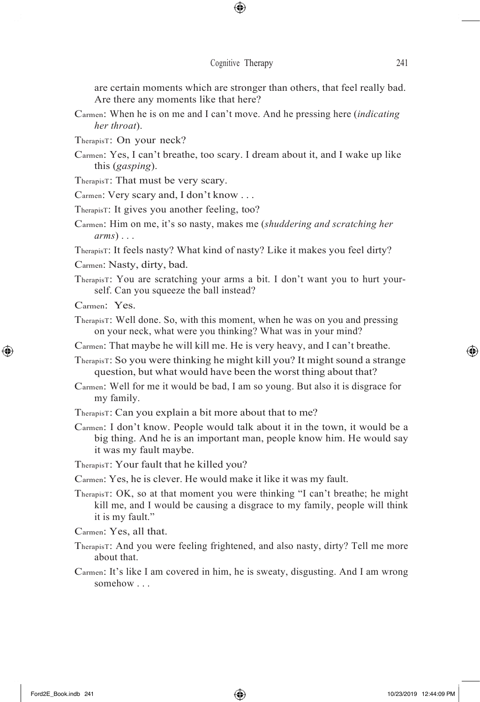⊕

are certain moments which are stronger than others, that feel really bad. Are there any moments like that here?

- Carmen: When he is on me and I can't move. And he pressing here (*indicating her throat*).
- TherapisT: On your neck?
- Carmen: Yes, I can't breathe, too scary. I dream about it, and I wake up like this (*gasping*).
- TherapisT: That must be very scary.
- Carmen: Very scary and, I don't know . . .
- TherapisT: It gives you another feeling, too?
- Carmen: Him on me, it's so nasty, makes me (*shuddering and scratching her arms*) . . .

TherapisT: It feels nasty? What kind of nasty? Like it makes you feel dirty? Carmen: Nasty, dirty, bad.

TherapisT: You are scratching your arms a bit. I don't want you to hurt yourself. Can you squeeze the ball instead?

Carmen: Yes.

 $\bigoplus$ 

TherapisT: Well done. So, with this moment, when he was on you and pressing on your neck, what were you thinking? What was in your mind?

Carmen: That maybe he will kill me. He is very heavy, and I can't breathe.

- TherapisT: So you were thinking he might kill you? It might sound a strange question, but what would have been the worst thing about that?
- Carmen: Well for me it would be bad, I am so young. But also it is disgrace for my family.

TherapisT: Can you explain a bit more about that to me?

Carmen: I don't know. People would talk about it in the town, it would be a big thing. And he is an important man, people know him. He would say it was my fault maybe.

TherapisT: Your fault that he killed you?

Carmen: Yes, he is clever. He would make it like it was my fault.

TherapisT: OK, so at that moment you were thinking "I can't breathe; he might kill me, and I would be causing a disgrace to my family, people will think it is my fault."

Carmen: Yes, all that.

- TherapisT: And you were feeling frightened, and also nasty, dirty? Tell me more about that.
- Carmen: It's like I am covered in him, he is sweaty, disgusting. And I am wrong somehow . . .

↔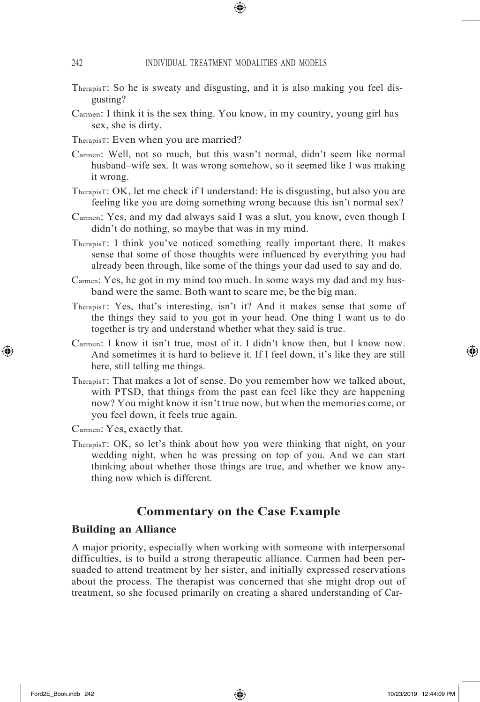- TherapisT: So he is sweaty and disgusting, and it is also making you feel disgusting?
- Carmen: I think it is the sex thing. You know, in my country, young girl has sex, she is dirty.
- TherapisT: Even when you are married?
- Carmen: Well, not so much, but this wasn't normal, didn't seem like normal husband–wife sex. It was wrong somehow, so it seemed like I was making it wrong.
- TherapisT: OK, let me check if I understand: He is disgusting, but also you are feeling like you are doing something wrong because this isn't normal sex?
- Carmen: Yes, and my dad always said I was a slut, you know, even though I didn't do nothing, so maybe that was in my mind.
- TherapisT: I think you've noticed something really important there. It makes sense that some of those thoughts were influenced by everything you had already been through, like some of the things your dad used to say and do.
- Carmen: Yes, he got in my mind too much. In some ways my dad and my husband were the same. Both want to scare me, be the big man.
- TherapisT: Yes, that's interesting, isn't it? And it makes sense that some of the things they said to you got in your head. One thing I want us to do together is try and understand whether what they said is true.
- Carmen: I know it isn't true, most of it. I didn't know then, but I know now. And sometimes it is hard to believe it. If I feel down, it's like they are still here, still telling me things.
- TherapisT: That makes a lot of sense. Do you remember how we talked about, with PTSD, that things from the past can feel like they are happening now? You might know it isn't true now, but when the memories come, or you feel down, it feels true again.
- Carmen: Yes, exactly that.
- TherapisT: OK, so let's think about how you were thinking that night, on your wedding night, when he was pressing on top of you. And we can start thinking about whether those things are true, and whether we know anything now which is different.

# **Commentary on the Case Example**

## **Building an Alliance**

A major priority, especially when working with someone with interpersonal difficulties, is to build a strong therapeutic alliance. Carmen had been persuaded to attend treatment by her sister, and initially expressed reservations about the process. The therapist was concerned that she might drop out of treatment, so she focused primarily on creating a shared understanding of Car-

⊕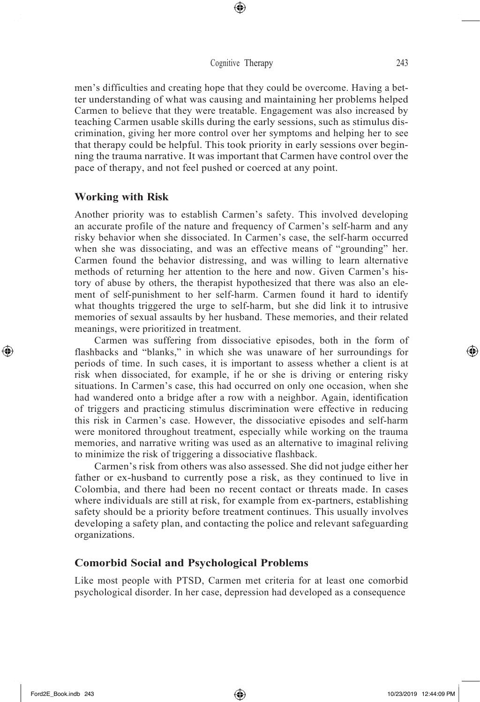⊕

men's difficulties and creating hope that they could be overcome. Having a better understanding of what was causing and maintaining her problems helped Carmen to believe that they were treatable. Engagement was also increased by teaching Carmen usable skills during the early sessions, such as stimulus discrimination, giving her more control over her symptoms and helping her to see that therapy could be helpful. This took priority in early sessions over beginning the trauma narrative. It was important that Carmen have control over the pace of therapy, and not feel pushed or coerced at any point.

#### **Working with Risk**

Another priority was to establish Carmen's safety. This involved developing an accurate profile of the nature and frequency of Carmen's self-harm and any risky behavior when she dissociated. In Carmen's case, the self-harm occurred when she was dissociating, and was an effective means of "grounding" her. Carmen found the behavior distressing, and was willing to learn alternative methods of returning her attention to the here and now. Given Carmen's history of abuse by others, the therapist hypothesized that there was also an element of self-punishment to her self-harm. Carmen found it hard to identify what thoughts triggered the urge to self-harm, but she did link it to intrusive memories of sexual assaults by her husband. These memories, and their related meanings, were prioritized in treatment.

Carmen was suffering from dissociative episodes, both in the form of flashbacks and "blanks," in which she was unaware of her surroundings for periods of time. In such cases, it is important to assess whether a client is at risk when dissociated, for example, if he or she is driving or entering risky situations. In Carmen's case, this had occurred on only one occasion, when she had wandered onto a bridge after a row with a neighbor. Again, identification of triggers and practicing stimulus discrimination were effective in reducing this risk in Carmen's case. However, the dissociative episodes and self-harm were monitored throughout treatment, especially while working on the trauma memories, and narrative writing was used as an alternative to imaginal reliving to minimize the risk of triggering a dissociative flashback.

Carmen's risk from others was also assessed. She did not judge either her father or ex-husband to currently pose a risk, as they continued to live in Colombia, and there had been no recent contact or threats made. In cases where individuals are still at risk, for example from ex-partners, establishing safety should be a priority before treatment continues. This usually involves developing a safety plan, and contacting the police and relevant safeguarding organizations.

## **Comorbid Social and Psychological Problems**

Like most people with PTSD, Carmen met criteria for at least one comorbid psychological disorder. In her case, depression had developed as a consequence

↔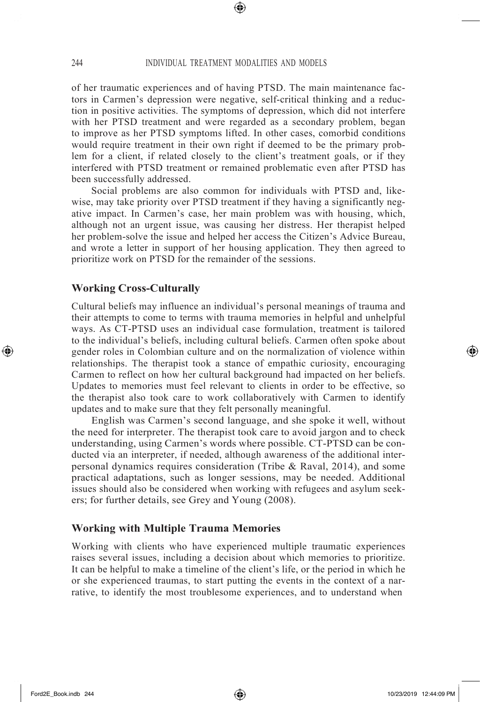⊕

of her traumatic experiences and of having PTSD. The main maintenance factors in Carmen's depression were negative, self-critical thinking and a reduction in positive activities. The symptoms of depression, which did not interfere with her PTSD treatment and were regarded as a secondary problem, began to improve as her PTSD symptoms lifted. In other cases, comorbid conditions would require treatment in their own right if deemed to be the primary problem for a client, if related closely to the client's treatment goals, or if they interfered with PTSD treatment or remained problematic even after PTSD has been successfully addressed.

Social problems are also common for individuals with PTSD and, likewise, may take priority over PTSD treatment if they having a significantly negative impact. In Carmen's case, her main problem was with housing, which, although not an urgent issue, was causing her distress. Her therapist helped her problem-solve the issue and helped her access the Citizen's Advice Bureau, and wrote a letter in support of her housing application. They then agreed to prioritize work on PTSD for the remainder of the sessions.

#### **Working Cross-Culturally**

Cultural beliefs may influence an individual's personal meanings of trauma and their attempts to come to terms with trauma memories in helpful and unhelpful ways. As CT-PTSD uses an individual case formulation, treatment is tailored to the individual's beliefs, including cultural beliefs. Carmen often spoke about gender roles in Colombian culture and on the normalization of violence within relationships. The therapist took a stance of empathic curiosity, encouraging Carmen to reflect on how her cultural background had impacted on her beliefs. Updates to memories must feel relevant to clients in order to be effective, so the therapist also took care to work collaboratively with Carmen to identify updates and to make sure that they felt personally meaningful.

English was Carmen's second language, and she spoke it well, without the need for interpreter. The therapist took care to avoid jargon and to check understanding, using Carmen's words where possible. CT-PTSD can be conducted via an interpreter, if needed, although awareness of the additional interpersonal dynamics requires consideration (Tribe & Raval, 2014), and some practical adaptations, such as longer sessions, may be needed. Additional issues should also be considered when working with refugees and asylum seekers; for further details, see Grey and Young (2008).

## **Working with Multiple Trauma Memories**

Working with clients who have experienced multiple traumatic experiences raises several issues, including a decision about which memories to prioritize. It can be helpful to make a timeline of the client's life, or the period in which he or she experienced traumas, to start putting the events in the context of a narrative, to identify the most troublesome experiences, and to understand when

↔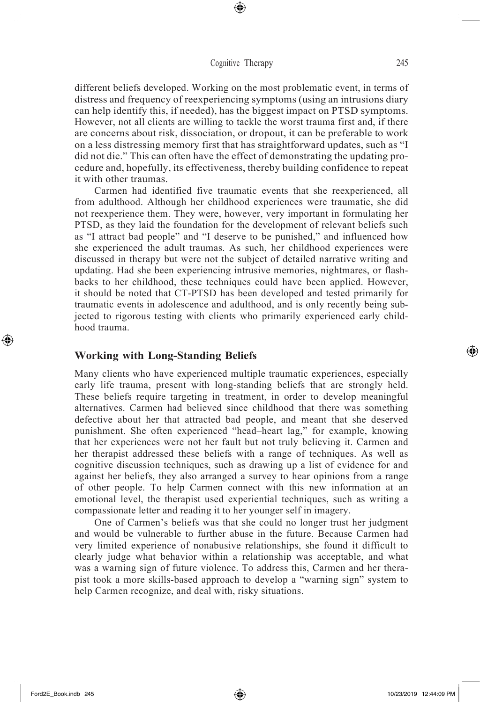⊕

different beliefs developed. Working on the most problematic event, in terms of distress and frequency of reexperiencing symptoms (using an intrusions diary can help identify this, if needed), has the biggest impact on PTSD symptoms. However, not all clients are willing to tackle the worst trauma first and, if there are concerns about risk, dissociation, or dropout, it can be preferable to work on a less distressing memory first that has straightforward updates, such as "I did not die." This can often have the effect of demonstrating the updating procedure and, hopefully, its effectiveness, thereby building confidence to repeat it with other traumas.

Carmen had identified five traumatic events that she reexperienced, all from adulthood. Although her childhood experiences were traumatic, she did not reexperience them. They were, however, very important in formulating her PTSD, as they laid the foundation for the development of relevant beliefs such as "I attract bad people" and "I deserve to be punished," and influenced how she experienced the adult traumas. As such, her childhood experiences were discussed in therapy but were not the subject of detailed narrative writing and updating. Had she been experiencing intrusive memories, nightmares, or flashbacks to her childhood, these techniques could have been applied. However, it should be noted that CT-PTSD has been developed and tested primarily for traumatic events in adolescence and adulthood, and is only recently being subjected to rigorous testing with clients who primarily experienced early childhood trauma.

## **Working with Long-Standing Beliefs**

Many clients who have experienced multiple traumatic experiences, especially early life trauma, present with long-standing beliefs that are strongly held. These beliefs require targeting in treatment, in order to develop meaningful alternatives. Carmen had believed since childhood that there was something defective about her that attracted bad people, and meant that she deserved punishment. She often experienced "head–heart lag," for example, knowing that her experiences were not her fault but not truly believing it. Carmen and her therapist addressed these beliefs with a range of techniques. As well as cognitive discussion techniques, such as drawing up a list of evidence for and against her beliefs, they also arranged a survey to hear opinions from a range of other people. To help Carmen connect with this new information at an emotional level, the therapist used experiential techniques, such as writing a compassionate letter and reading it to her younger self in imagery.

One of Carmen's beliefs was that she could no longer trust her judgment and would be vulnerable to further abuse in the future. Because Carmen had very limited experience of nonabusive relationships, she found it difficult to clearly judge what behavior within a relationship was acceptable, and what was a warning sign of future violence. To address this, Carmen and her therapist took a more skills-based approach to develop a "warning sign" system to help Carmen recognize, and deal with, risky situations.

⊕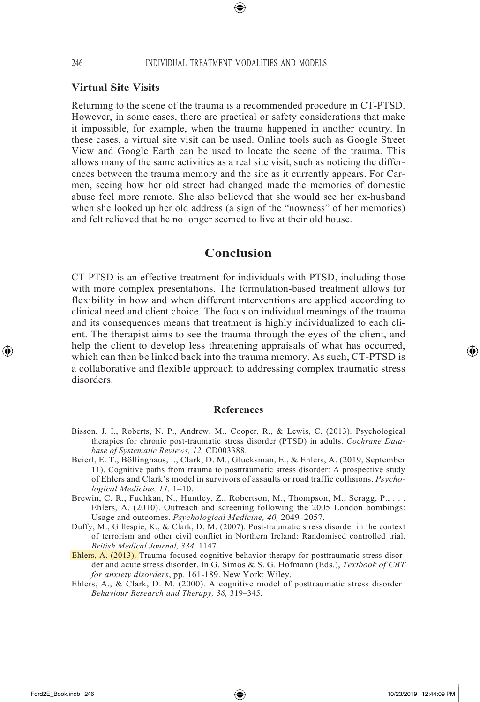## **Virtual Site Visits**

Returning to the scene of the trauma is a recommended procedure in CT-PTSD. However, in some cases, there are practical or safety considerations that make it impossible, for example, when the trauma happened in another country. In these cases, a virtual site visit can be used. Online tools such as Google Street View and Google Earth can be used to locate the scene of the trauma. This allows many of the same activities as a real site visit, such as noticing the differences between the trauma memory and the site as it currently appears. For Carmen, seeing how her old street had changed made the memories of domestic abuse feel more remote. She also believed that she would see her ex-husband when she looked up her old address (a sign of the "nowness" of her memories) and felt relieved that he no longer seemed to live at their old house.

# **Conclusion**

CT-PTSD is an effective treatment for individuals with PTSD, including those with more complex presentations. The formulation-based treatment allows for flexibility in how and when different interventions are applied according to clinical need and client choice. The focus on individual meanings of the trauma and its consequences means that treatment is highly individualized to each client. The therapist aims to see the trauma through the eyes of the client, and help the client to develop less threatening appraisals of what has occurred, which can then be linked back into the trauma memory. As such, CT-PTSD is a collaborative and flexible approach to addressing complex traumatic stress disorders.

#### **References**

- Bisson, J. I., Roberts, N. P., Andrew, M., Cooper, R., & Lewis, C. (2013). Psychological therapies for chronic post-traumatic stress disorder (PTSD) in adults. *Cochrane Database of Systematic Reviews, 12,* CD003388.
- Beierl, E. T., Böllinghaus, I., Clark, D. M., Glucksman, E., & Ehlers, A. (2019, September 11). Cognitive paths from trauma to posttraumatic stress disorder: A prospective study of Ehlers and Clark's model in survivors of assaults or road traffic collisions. *Psychological Medicine, 11,* 1–10.
- Brewin, C. R., Fuchkan, N., Huntley, Z., Robertson, M., Thompson, M., Scragg, P., ... Ehlers, A. (2010). Outreach and screening following the 2005 London bombings: Usage and outcomes. *Psychological Medicine, 40,* 2049–2057.
- Duffy, M., Gillespie, K., & Clark, D. M. (2007). Post-traumatic stress disorder in the context of terrorism and other civil conflict in Northern Ireland: Randomised controlled trial. *British Medical Journal, 334,* 1147.
- Ehlers, A. (2013). Trauma-focused cognitive behavior therapy for posttraumatic stress disorder and acute stress disorder. In G. Simos & S. G. Hofmann (Eds.), *Textbook of CBT for anxiety disorders*, pp. 161-189. New York: Wiley.
- Ehlers, A., & Clark, D. M. (2000). A cognitive model of posttraumatic stress disorder *Behaviour Research and Therapy, 38,* 319–345.

↔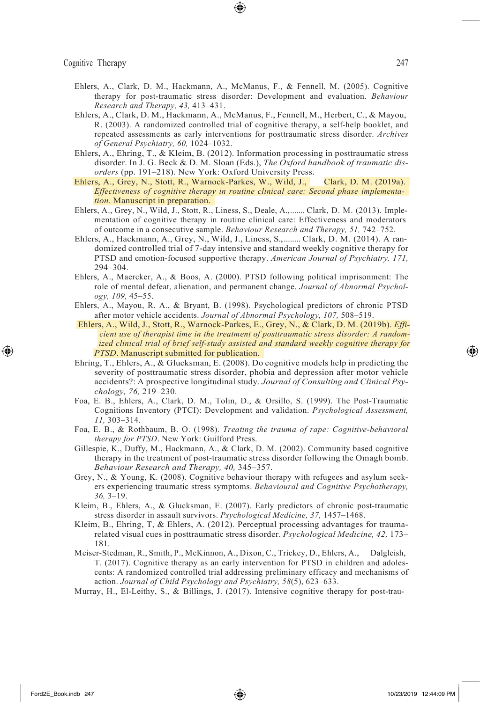- Ehlers, A., Clark, D. M., Hackmann, A., McManus, F., & Fennell, M. (2005). Cognitive therapy for post-traumatic stress disorder: Development and evaluation. *Behaviour Research and Therapy, 43,* 413–431.
- Ehlers, A., Clark, D. M., Hackmann, A., McManus, F., Fennell, M., Herbert, C., & Mayou, R. (2003). A randomized controlled trial of cognitive therapy, a self-help booklet, and repeated assessments as early interventions for posttraumatic stress disorder. *Archives of General Psychiatry, 60,* 1024–1032.
- Ehlers, A., Ehring, T., & Kleim, B. (2012). Information processing in posttraumatic stress disorder. In J. G. Beck & D. M. Sloan (Eds.), *The Oxford handbook of traumatic disorders* (pp. 191–218). New York: Oxford University Press.
- Ehlers, A., Grey, N., Stott, R., Warnock-Parkes, W., Wild, J., Clark, D. M. (2019a). *Effectiveness of cognitive therapy in routine clinical care: Second phase implementation*. Manuscript in preparation.
- Ehlers, A., Grey, N., Wild, J., Stott, R., Liness, S., Deale, A.,....... Clark, D. M. (2013). Implementation of cognitive therapy in routine clinical care: Effectiveness and moderators of outcome in a consecutive sample. *Behaviour Research and Therapy, 51,* 742–752.
- Ehlers, A., Hackmann, A., Grey, N., Wild, J., Liness, S.,........ Clark, D. M. (2014). A randomized controlled trial of 7-day intensive and standard weekly cognitive therapy for PTSD and emotion-focused supportive therapy. *American Journal of Psychiatry. 171,*  294–304.
- Ehlers, A., Maercker, A., & Boos, A. (2000). PTSD following political imprisonment: The role of mental defeat, alienation, and permanent change. *Journal of Abnormal Psychology, 109,* 45–55.
- Ehlers, A., Mayou, R. A., & Bryant, B. (1998). Psychological predictors of chronic PTSD after motor vehicle accidents. *Journal of Abnormal Psychology, 107,* 508–519.
- Ehlers, A., Wild, J., Stott, R., Warnock-Parkes, E., Grey, N., & Clark, D. M. (2019b). *Efficient use of therapist time in the treatment of posttraumatic stress disorder: A randomized clinical trial of brief self-study assisted and standard weekly cognitive therapy for PTSD*. Manuscript submitted for publication.
- Ehring, T., Ehlers, A., & Glucksman, E. (2008). Do cognitive models help in predicting the severity of posttraumatic stress disorder, phobia and depression after motor vehicle accidents?: A prospective longitudinal study. *Journal of Consulting and Clinical Psychology, 76,* 219–230.
- Foa, E. B., Ehlers, A., Clark, D. M., Tolin, D., & Orsillo, S. (1999). The Post-Traumatic Cognitions Inventory (PTCI): Development and validation. *Psychological Assessment, 11,* 303–314.
- Foa, E. B., & Rothbaum, B. O. (1998). *Treating the trauma of rape: Cognitive-behavioral therapy for PTSD*. New York: Guilford Press.
- Gillespie, K., Duffy, M., Hackmann, A., & Clark, D. M. (2002). Community based cognitive therapy in the treatment of post-traumatic stress disorder following the Omagh bomb. *Behaviour Research and Therapy, 40,* 345–357.
- Grey, N., & Young, K. (2008). Cognitive behaviour therapy with refugees and asylum seekers experiencing traumatic stress symptoms. *Behavioural and Cognitive Psychotherapy, 36,* 3–19.
- Kleim, B., Ehlers, A., & Glucksman, E. (2007). Early predictors of chronic post-traumatic stress disorder in assault survivors. *Psychological Medicine, 37,* 1457–1468.
- Kleim, B., Ehring, T, & Ehlers, A. (2012). Perceptual processing advantages for traumarelated visual cues in posttraumatic stress disorder. *Psychological Medicine, 42,* 173– 181.
- Meiser-Stedman, R., Smith, P., McKinnon, A., Dixon, C., Trickey, D., Ehlers, A., Dalgleish, T. (2017). Cognitive therapy as an early intervention for PTSD in children and adolescents: A randomized controlled trial addressing preliminary efficacy and mechanisms of action. *Journal of Child Psychology and Psychiatry, 58*(5), 623–633.
- Murray, H., El-Leithy, S., & Billings, J. (2017). Intensive cognitive therapy for post-trau-